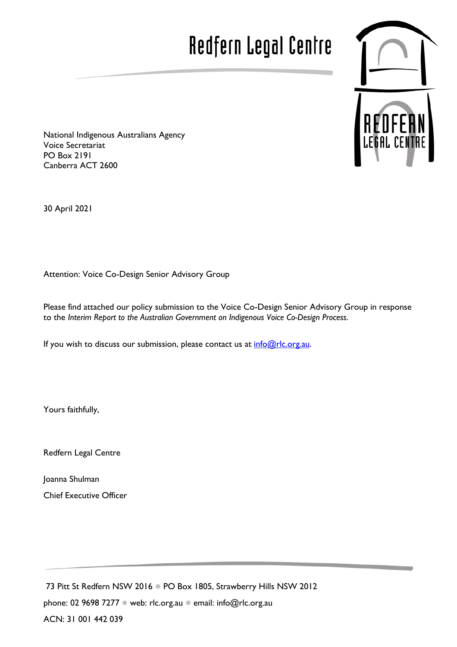# Redfern Legal Centre



National Indigenous Australians Agency Voice Secretariat PO Box 2191 Canberra ACT 2600

30 April 2021

Attention: Voice Co-Design Senior Advisory Group

Please find attached our policy submission to the Voice Co-Design Senior Advisory Group in response to the *Interim Report to the Australian Government on Indigenous Voice Co-Design Process*.

If you wish to discuss our submission, please contact us at  $info@rlc.org.au$ .

Yours faithfully,

Redfern Legal Centre

Joanna Shulman Chief Executive Officer

73 Pitt St Redfern NSW 2016 PO Box 1805, Strawberry Hills NSW 2012 phone: 02 9698 7277 · web: rlc.org.au · email: [info@rlc.org.au](mailto:info@rlc.org.au) ACN: 31 001 442 039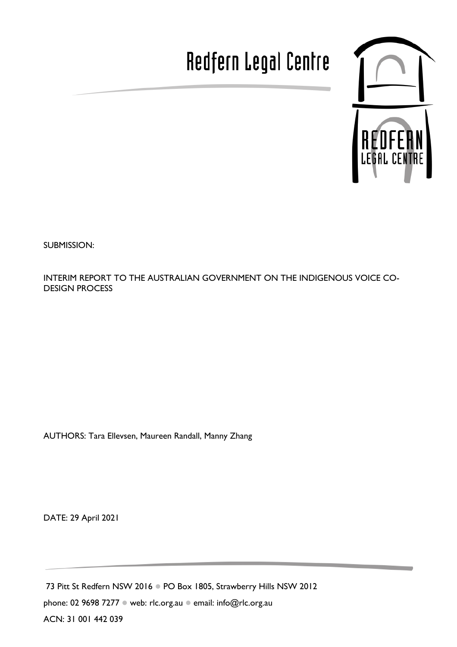## Redfern Legal Centre



SUBMISSION:

INTERIM REPORT TO THE AUSTRALIAN GOVERNMENT ON THE INDIGENOUS VOICE CO-DESIGN PROCESS

AUTHORS: Tara Ellevsen, Maureen Randall, Manny Zhang

DATE: 29 April 2021

73 Pitt St Redfern NSW 2016 PO Box 1805, Strawberry Hills NSW 2012 phone: 02 9698 7277 · web: rlc.org.au · email: info@rlc.org.au ACN: 31 001 442 039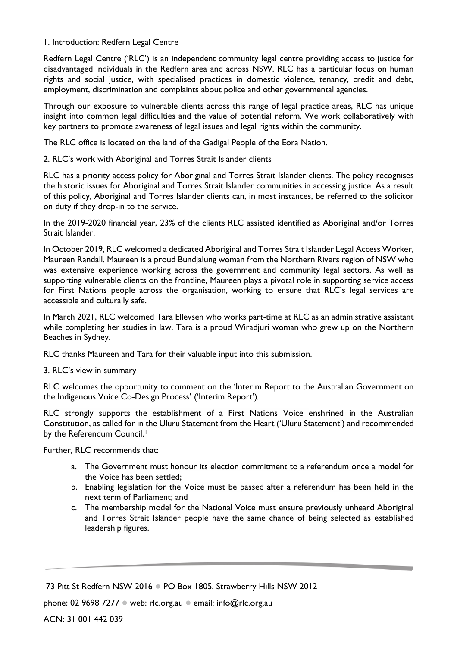1. Introduction: Redfern Legal Centre

Redfern Legal Centre ('RLC') is an independent community legal centre providing access to justice for disadvantaged individuals in the Redfern area and across NSW. RLC has a particular focus on human rights and social justice, with specialised practices in domestic violence, tenancy, credit and debt, employment, discrimination and complaints about police and other governmental agencies.

Through our exposure to vulnerable clients across this range of legal practice areas, RLC has unique insight into common legal difficulties and the value of potential reform. We work collaboratively with key partners to promote awareness of legal issues and legal rights within the community.

The RLC office is located on the land of the Gadigal People of the Eora Nation.

2. RLC's work with Aboriginal and Torres Strait Islander clients

RLC has a priority access policy for Aboriginal and Torres Strait Islander clients. The policy recognises the historic issues for Aboriginal and Torres Strait Islander communities in accessing justice. As a result of this policy, Aboriginal and Torres Islander clients can, in most instances, be referred to the solicitor on duty if they drop-in to the service.

In the 2019-2020 financial year, 23% of the clients RLC assisted identified as Aboriginal and/or Torres Strait Islander.

In October 2019, RLC welcomed a dedicated Aboriginal and Torres Strait Islander Legal Access Worker, Maureen Randall. Maureen is a proud Bundjalung woman from the Northern Rivers region of NSW who was extensive experience working across the government and community legal sectors. As well as supporting vulnerable clients on the frontline, Maureen plays a pivotal role in supporting service access for First Nations people across the organisation, working to ensure that RLC's legal services are accessible and culturally safe.

In March 2021, RLC welcomed Tara Ellevsen who works part-time at RLC as an administrative assistant while completing her studies in law. Tara is a proud Wiradjuri woman who grew up on the Northern Beaches in Sydney.

RLC thanks Maureen and Tara for their valuable input into this submission.

3. RLC's view in summary

RLC welcomes the opportunity to comment on the 'Interim Report to the Australian Government on the Indigenous Voice Co-Design Process' ('Interim Report')*.*

RLC strongly supports the establishment of a First Nations Voice enshrined in the Australian Constitution, as called for in the Uluru Statement from the Heart ('Uluru Statement') and recommended by the Referendum Council.<sup>[1](#page-7-0)</sup>

Further, RLC recommends that:

- a. The Government must honour its election commitment to a referendum once a model for the Voice has been settled;
- b. Enabling legislation for the Voice must be passed after a referendum has been held in the next term of Parliament; and
- c. The membership model for the National Voice must ensure previously unheard Aboriginal and Torres Strait Islander people have the same chance of being selected as established leadership figures.

<sup>73</sup> Pitt St Redfern NSW 2016 . PO Box 1805, Strawberry Hills NSW 2012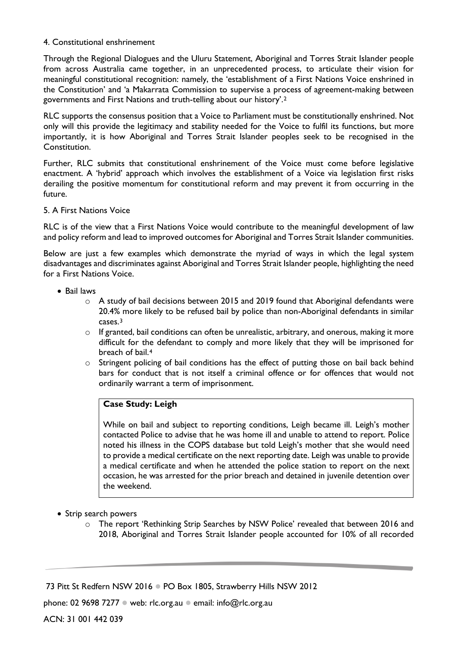#### 4. Constitutional enshrinement

Through the Regional Dialogues and the Uluru Statement, Aboriginal and Torres Strait Islander people from across Australia came together, in an unprecedented process, to articulate their vision for meaningful constitutional recognition: namely, the 'establishment of a First Nations Voice enshrined in the Constitution' and 'a Makarrata Commission to supervise a process of agreement-making between governments and First Nations and truth-telling about our history'.[2](#page-7-1)

RLC supports the consensus position that a Voice to Parliament must be constitutionally enshrined. Not only will this provide the legitimacy and stability needed for the Voice to fulfil its functions, but more importantly, it is how Aboriginal and Torres Strait Islander peoples seek to be recognised in the Constitution.

Further, RLC submits that constitutional enshrinement of the Voice must come before legislative enactment. A 'hybrid' approach which involves the establishment of a Voice via legislation first risks derailing the positive momentum for constitutional reform and may prevent it from occurring in the future.

#### 5. A First Nations Voice

RLC is of the view that a First Nations Voice would contribute to the meaningful development of law and policy reform and lead to improved outcomes for Aboriginal and Torres Strait Islander communities.

Below are just a few examples which demonstrate the myriad of ways in which the legal system disadvantages and discriminates against Aboriginal and Torres Strait Islander people, highlighting the need for a First Nations Voice.

- Bail laws
	- $\circ$  A study of bail decisions between 2015 and 2019 found that Aboriginal defendants were 20.4% more likely to be refused bail by police than non-Aboriginal defendants in similar cases.[3](#page-7-2)
	- o If granted, bail conditions can often be unrealistic, arbitrary, and onerous, making it more difficult for the defendant to comply and more likely that they will be imprisoned for breach of bail.[4](#page-7-3)
	- o Stringent policing of bail conditions has the effect of putting those on bail back behind bars for conduct that is not itself a criminal offence or for offences that would not ordinarily warrant a term of imprisonment.

## **Case Study: Leigh**

While on bail and subject to reporting conditions, Leigh became ill. Leigh's mother contacted Police to advise that he was home ill and unable to attend to report. Police noted his illness in the COPS database but told Leigh's mother that she would need to provide a medical certificate on the next reporting date. Leigh was unable to provide a medical certificate and when he attended the police station to report on the next occasion, he was arrested for the prior breach and detained in juvenile detention over the weekend.

- Strip search powers
	- o The report 'Rethinking Strip Searches by NSW Police' revealed that between 2016 and 2018, Aboriginal and Torres Strait Islander people accounted for 10% of all recorded

73 Pitt St Redfern NSW 2016 . PO Box 1805, Strawberry Hills NSW 2012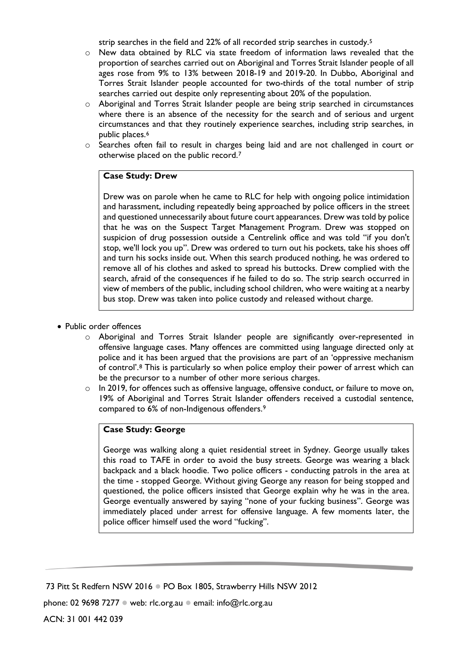strip searches in the field and 22% of all recorded strip searches in custody.[5](#page-7-4)

- o New data obtained by RLC via state freedom of information laws revealed that the proportion of searches carried out on Aboriginal and Torres Strait Islander people of all ages rose from 9% to 13% between 2018-19 and 2019-20. In Dubbo, Aboriginal and Torres Strait Islander people accounted for two-thirds of the total number of strip searches carried out despite only representing about 20% of the population.
- o Aboriginal and Torres Strait Islander people are being strip searched in circumstances where there is an absence of the necessity for the search and of serious and urgent circumstances and that they routinely experience searches, including strip searches, in public places.[6](#page-7-5)
- o Searches often fail to result in charges being laid and are not challenged in court or otherwise placed on the public record.[7](#page-7-6)

#### **Case Study: Drew**

Drew was on parole when he came to RLC for help with ongoing police intimidation and harassment, including repeatedly being approached by police officers in the street and questioned unnecessarily about future court appearances. Drew was told by police that he was on the Suspect Target Management Program. Drew was stopped on suspicion of drug possession outside a Centrelink office and was told "if you don't stop, we'll lock you up". Drew was ordered to turn out his pockets, take his shoes off and turn his socks inside out. When this search produced nothing, he was ordered to remove all of his clothes and asked to spread his buttocks. Drew complied with the search, afraid of the consequences if he failed to do so. The strip search occurred in view of members of the public, including school children, who were waiting at a nearby bus stop. Drew was taken into police custody and released without charge.

- Public order offences
	- o Aboriginal and Torres Strait Islander people are significantly over-represented in offensive language cases. Many offences are committed using language directed only at police and it has been argued that the provisions are part of an 'oppressive mechanism of control'.[8](#page-7-7) This is particularly so when police employ their power of arrest which can be the precursor to a number of other more serious charges.
	- o In 2019, for offences such as offensive language, offensive conduct, or failure to move on, 19% of Aboriginal and Torres Strait Islander offenders received a custodial sentence, compared to 6% of non-Indigenous offenders.[9](#page-7-8)

### **Case Study: George**

George was walking along a quiet residential street in Sydney. George usually takes this road to TAFE in order to avoid the busy streets. George was wearing a black backpack and a black hoodie. Two police officers - conducting patrols in the area at the time - stopped George. Without giving George any reason for being stopped and questioned, the police officers insisted that George explain why he was in the area. George eventually answered by saying "none of your fucking business". George was immediately placed under arrest for offensive language. A few moments later, the police officer himself used the word "fucking".

<sup>73</sup> Pitt St Redfern NSW 2016 · PO Box 1805, Strawberry Hills NSW 2012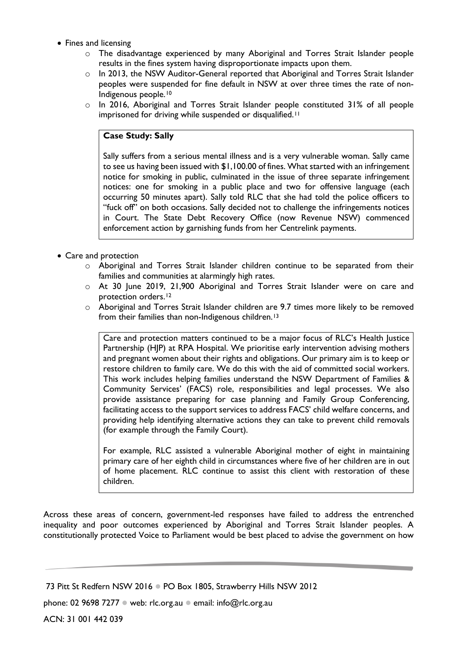- Fines and licensing
	- o The disadvantage experienced by many Aboriginal and Torres Strait Islander people results in the fines system having disproportionate impacts upon them.
	- o In 2013, the NSW Auditor-General reported that Aboriginal and Torres Strait Islander peoples were suspended for fine default in NSW at over three times the rate of non-Indigenous people.[10](#page-7-9)
	- o In 2016, Aboriginal and Torres Strait Islander people constituted 31% of all people imprisoned for driving while suspended or disqualified.<sup>[11](#page-7-10)</sup>

## **Case Study: Sally**

Sally suffers from a serious mental illness and is a very vulnerable woman. Sally came to see us having been issued with \$1,100.00 of fines. What started with an infringement notice for smoking in public, culminated in the issue of three separate infringement notices: one for smoking in a public place and two for offensive language (each occurring 50 minutes apart). Sally told RLC that she had told the police officers to "fuck off" on both occasions. Sally decided not to challenge the infringements notices in Court. The State Debt Recovery Office (now Revenue NSW) commenced enforcement action by garnishing funds from her Centrelink payments.

- Care and protection
	- o Aboriginal and Torres Strait Islander children continue to be separated from their families and communities at alarmingly high rates.
	- o At 30 June 2019, 21,900 Aboriginal and Torres Strait Islander were on care and protection orders.<sup>[12](#page-7-11)</sup>
	- o Aboriginal and Torres Strait Islander children are 9.7 times more likely to be removed from their families than non-Indigenous children.[13](#page-7-12)

Care and protection matters continued to be a major focus of RLC's Health Justice Partnership (HJP) at RPA Hospital. We prioritise early intervention advising mothers and pregnant women about their rights and obligations. Our primary aim is to keep or restore children to family care. We do this with the aid of committed social workers. This work includes helping families understand the NSW Department of Families & Community Services' (FACS) role, responsibilities and legal processes. We also provide assistance preparing for case planning and Family Group Conferencing, facilitating access to the support services to address FACS' child welfare concerns, and providing help identifying alternative actions they can take to prevent child removals (for example through the Family Court).

For example, RLC assisted a vulnerable Aboriginal mother of eight in maintaining primary care of her eighth child in circumstances where five of her children are in out of home placement. RLC continue to assist this client with restoration of these children.

Across these areas of concern, government-led responses have failed to address the entrenched inequality and poor outcomes experienced by Aboriginal and Torres Strait Islander peoples. A constitutionally protected Voice to Parliament would be best placed to advise the government on how

<sup>73</sup> Pitt St Redfern NSW 2016 . PO Box 1805, Strawberry Hills NSW 2012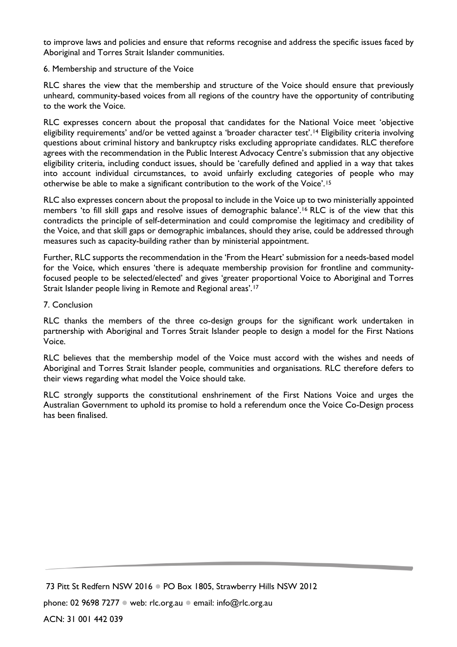to improve laws and policies and ensure that reforms recognise and address the specific issues faced by Aboriginal and Torres Strait Islander communities.

#### 6. Membership and structure of the Voice

RLC shares the view that the membership and structure of the Voice should ensure that previously unheard, community-based voices from all regions of the country have the opportunity of contributing to the work the Voice.

RLC expresses concern about the proposal that candidates for the National Voice meet 'objective eligibility requirements' and/or be vetted against a 'broader character test'.<sup>[14](#page-7-13)</sup> Eligibility criteria involving questions about criminal history and bankruptcy risks excluding appropriate candidates. RLC therefore agrees with the recommendation in the Public Interest Advocacy Centre's submission that any objective eligibility criteria, including conduct issues, should be 'carefully defined and applied in a way that takes into account individual circumstances, to avoid unfairly excluding categories of people who may otherwise be able to make a significant contribution to the work of the Voice'.[15](#page-7-14)

RLC also expresses concern about the proposal to include in the Voice up to two ministerially appointed members 'to fill skill gaps and resolve issues of demographic balance'.[16](#page-7-15) RLC is of the view that this contradicts the principle of self-determination and could compromise the legitimacy and credibility of the Voice, and that skill gaps or demographic imbalances, should they arise, could be addressed through measures such as capacity-building rather than by ministerial appointment.

Further, RLC supports the recommendation in the 'From the Heart' submission for a needs-based model for the Voice, which ensures 'there is adequate membership provision for frontline and communityfocused people to be selected/elected' and gives 'greater proportional Voice to Aboriginal and Torres Strait Islander people living in Remote and Regional areas'.[17](#page-7-16)

#### 7. Conclusion

RLC thanks the members of the three co-design groups for the significant work undertaken in partnership with Aboriginal and Torres Strait Islander people to design a model for the First Nations Voice.

RLC believes that the membership model of the Voice must accord with the wishes and needs of Aboriginal and Torres Strait Islander people, communities and organisations. RLC therefore defers to their views regarding what model the Voice should take.

RLC strongly supports the constitutional enshrinement of the First Nations Voice and urges the Australian Government to uphold its promise to hold a referendum once the Voice Co-Design process has been finalised.